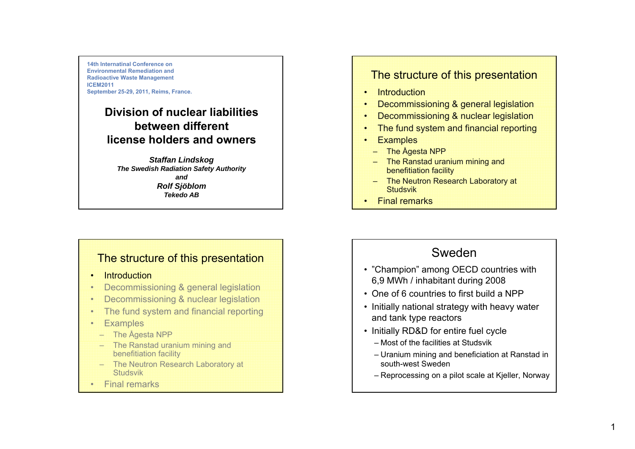**14th Internatinal Conference on Environmental Remediation and Radioactive Waste Management ICEM2011September 25-29, 2011, Reims, France.** 

#### **Division of nuclear liabilitiesbetween different license holders and owners**

*St ff a an Li d k n ds ko g The Swedish Radiation Safety Authority andRolf Sjöblom Tekedo AB*

#### The structure of this presentation

- •**Introduction**
- •Decommissioning & general legislation
- •Decommissioning & nuclear legislation
- •The fund system and financial reporting
- •**Examples** 
	- The Ågesta NPP
	- The Ranstad uranium minin g and benefitiation facility
	- The Neutron Research Laboratory at Studsvik
- •Final remarks

#### The structure of this presentation

- •**Introduction**
- •Decommissioning & general legislation
- •Decommissioning & nuclear legislation
- •The fund system and financial reporting
- •**Examples** 
	- The Ågesta NPP
	- The Ranstad uranium minin g and benefitiation facility
	- The Neutron Research Laboratory at **Studsvik**
- Final remarks

# Sweden

- "Champion" among OECD countries with 6,9 MWh / inhabitant during 2008
- One of 6 countries to first build a NPP
- Initially national strategy with heavy water and tank type reactors
- Initially RD&D for entire fuel cycle
	- Most of the facilities at Studsvik
	- Uranium mining and beneficiation at Ranstad in south-west Sweden
	- Reprocessing on a pilot scale at Kjeller, Norway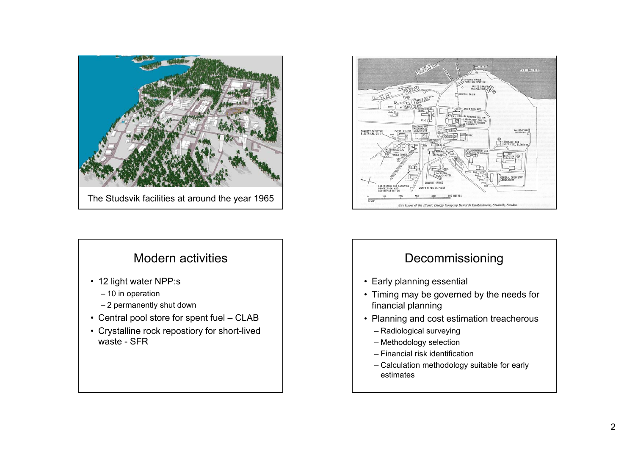

## Modern activities

- 12 light water NPP:s
	- 10 in operation
	- 2 permanently shut down
- Central pool store for spent fuel CLAB
- Crystalline rock repostiory for short-lived waste - SFR



# Decommissioning

- Early planning essential
- Timing may be governed by the needs for financial planning
- Planning and cost estimation treacherous
	- Radiological surveying
	- Methodology selection
	- Financial risk identification
	- Calculation methodology suitable for early estimates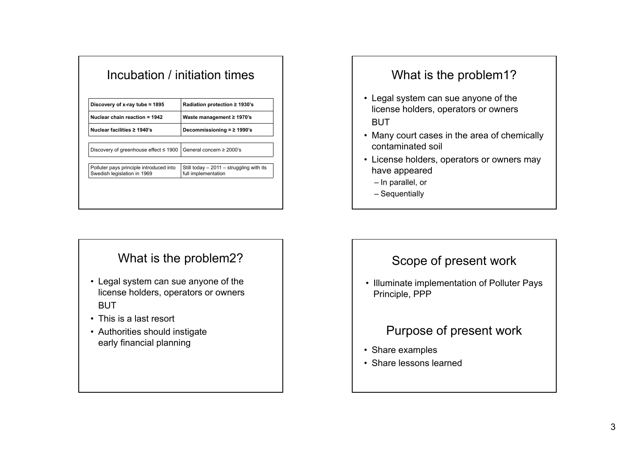| Discovery of x-ray tube $\approx$ 1895<br>Nuclear chain reaction = 1942<br>Nuclear facilities ≥ 1940's | Radiation protection $\geq$ 1930's<br>Waste management ≥ 1970's<br>Decommissioning $\approx$ 2 1990's |                                                                        |                                                                  |
|--------------------------------------------------------------------------------------------------------|-------------------------------------------------------------------------------------------------------|------------------------------------------------------------------------|------------------------------------------------------------------|
|                                                                                                        |                                                                                                       | Discovery of greenhouse effect ≤ 1900                                  | General concern $\geq$ 2000's                                    |
|                                                                                                        |                                                                                                       | Polluter pays principle introduced into<br>Swedish legislation in 1969 | Still today $-2011 -$ struggling with its<br>full implementation |

## What is the problem2?

- Legal system can sue anyone of the license holders, operators or owners **BUT**
- This is a last resort
- Authorities should instigate early financial planning

# What is the problem1?

- Legal system can sue anyone of the license holders, operators or owners BUT
- Many court cases in the area of chemically contaminated soil
- License holders, operators or owners may have appeared
	- In parallel, or
	- Sequentially

## Scope of present work

• Illuminate implementation of Polluter Pays Principle, PPP

## Purpose of present work

- Share examples
- Share lessons learned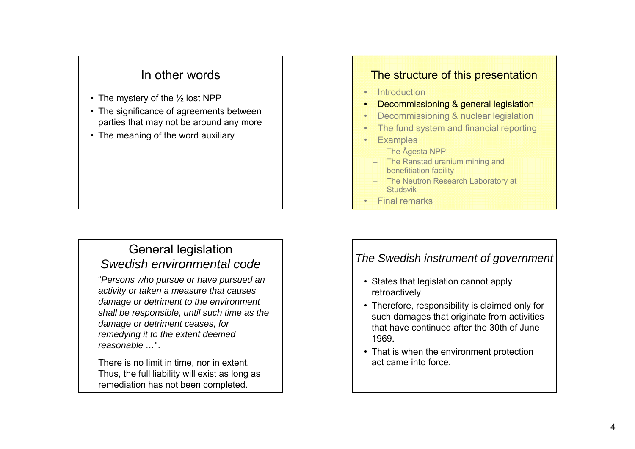## In other words

- The mystery of the  $\%$  lost NPP
- The significance of agreements between parties that may not be around any more
- The meaning of the word auxiliary

## General legislation *Swedish environmental code*

"*Persons who pursue or have pursued an activity or taken <sup>a</sup> measure that causes damage or detriment to the environment shall be responsible, until such time as the damage or detriment ceases, for remedying it to the extent deemed reasonable …*".

There is no limit in time, nor in extent. Thus, the full liability will exist as long as remediation has not been completed.

#### The structure of this presentation

- •**Introduction**
- •Decommissioning & general legislation
- •Decommissioning & nuclear legislation
- •The fund system and financial reporting
- •**Examples** 
	- The Ågesta NPP
	- The Ranstad uranium mining and benefitiation facility
	- The Neutron Research Laboratory at **Studsvik**
- Final remarks

## *The Swedish instrument of government*

- States that legislation cannot apply retroactively
- Therefore, responsibility is claimed only for such damages that originate from activities that have continued after the 30th of June 1969.
- That is when the environment protection act came into force.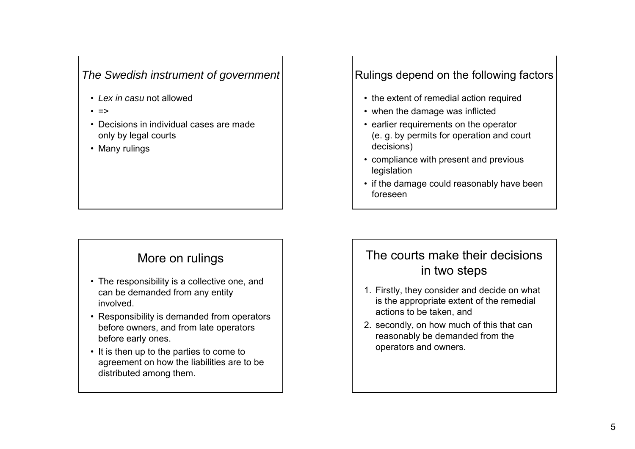#### *The Swedish instrument of government*

- *Lex in casu* not allowed
- =>
- Decisions in individual cases are made only by legal courts
- Many rulings

## More on rulings

- The responsibility is a collective one, and can be demanded from any entity involved.
- Responsibility is demanded from operators before owners, and from late operators before early ones.
- It is then up to the parties to come to agreement on how the liabilities are to be distributed among them.

#### Rulings depend on the following factors

- the extent of remedial action required
- when the damage was inflicted
- earlier requirements on the operator (e. g. by permits for operation and court decisions)
- compliance with present and previous legislation
- if the damage could reasonably have been foreseen

# The courts make their decisionsin two steps

- 1. Firstly, they consider and decide on what is the appropriate extent of the remedial actions to be taken, and
- 2. secondly, on how much of this that can reasonably be demanded from the operators and owners.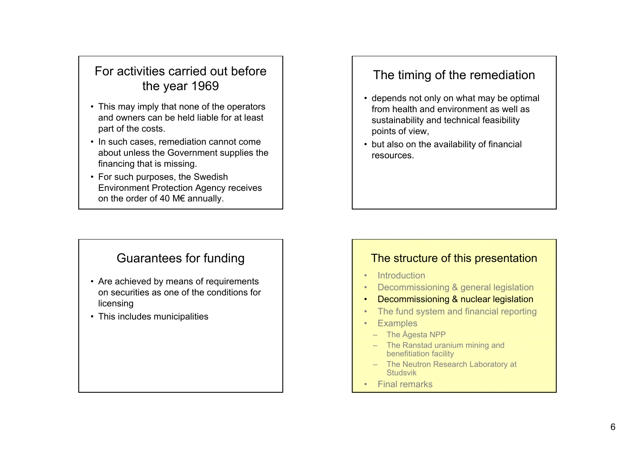# For activities carried out before the year 1969

- This may imply that none of the operators and owners can be held liable for at least part of the costs.
- In such cases, remediation cannot come about unless the Government supplies the financing that is missing.
- For such purposes, the Swedish Environment Protection Agency receives on the order of 40 M€ annually.

# The timing of the remediation

- depends not only on what may be optimal from health and environment as well as sustainability and technical feasibility points of view,
- but also on the availability of financial resources.

## Guarantees for funding

- Are achieved by means of requirements on securities as one of the conditions for licensing
- This includes municipalities

#### The structure of this presentation

- Introduction
- Decommissioning & general legislation
- •Decommissioning & nuclear legislation
- •The fund system and financial reporting
- •**Examples**
- The Ågesta NPP
- The Ranstad uranium mining and benefitiation facility
- The Neutron Research Laboratory at Studsvik
- Final remarks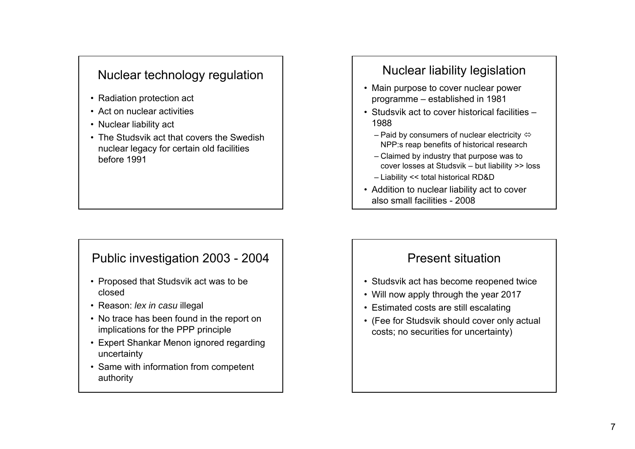# Nuclear technology regulation

- Radiation protection act
- Act on nuclear activities
- Nuclear liability act
- The Studsvik act that covers the Swedish nuclear legacy for certain old facilities before 1991 $-$

#### Public investigation 2003 - 2004

- Proposed that Studsvik act was to be closed
- Reason: *lex in casu* illegal
- No trace has been found in the report on implications for the PPP principle
- Expert Shankar Menon ignored regarding uncertainty
- Same with information from competent authority

# Nuclear liability legislation

- Main purpose to cover nuclear power programme – established in 1981
- Studsvik act to cover historical facilities –1988
	- Paid by consumers of nuclear electricity  $\Leftrightarrow$ NPP:s reap benefits of historical research
	- Claimed by industry that purpose was to cover losses at Studsvik – but liability >> loss
	- Liability << total historical RD&D
- Addition to nuclear liability act to cover also small facilities - 2008

#### Present situation

- Studsvik act has become reopened twice
- Will now apply through the year 2017
- Estimated costs are still escalating
- (Fee for Studsvik should cover only actual costs; no securities for uncertainty)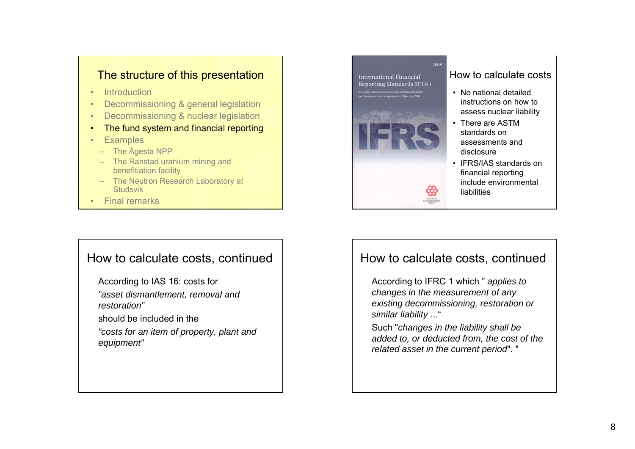#### The structure of this presentation

- •**Introduction**
- •Decommissioning & general legislation
- •Decommissioning & nuclear legislation
- •The fund system and financial reporting
- •**Examples**
- The Ågesta NPP
- The Ranstad uranium mining and benefitiation facility
- The Neutron Research Laboratory at Studsvik
- Final remarks

#### How to calculate costs, continued

- According to IAS 16: costs for
- *"asset dismantlement, removal and restoration"*
- should be included in the
- *"costs for an item of property, plant and equipment"*



#### How to calculate costs

- No national detailedinstructions on how to assess nuclear liability
- There are ASTM standards on assessments and disclosure
- IFRS/IAS standards on financial reporting include environmental liabilities

## How to calculate costs, continued

According to IFRC 1 which " *applies to ch i th t f hanges in the measurement of any existing decommissioning, restoration or similar liability* ..."

Such "*changes in the liability shall be added to, or deducted from, the cost of the related asset in the current period*". "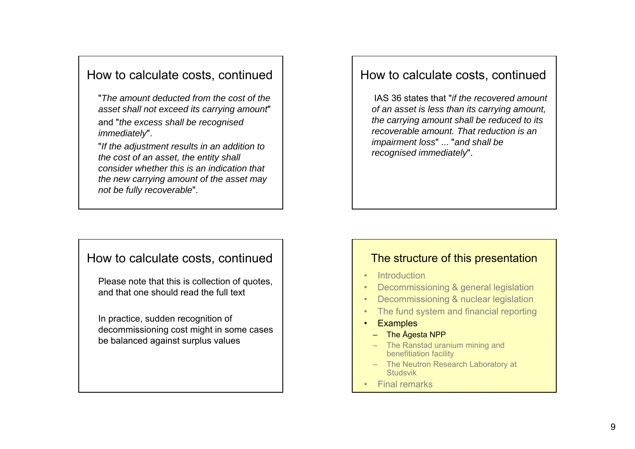#### How to calculate costs, continued

"*The amount deducted from the cost of the asset h ll t d it i t t s all not excee its carrying amount*" and "*the excess shall be recognised immediately*".

"*If the adjustment results in an addition to the cost of an asset the entity shall asset, consider whether this is an indication that the new carrying amount of the asset may not be fully recoverable*".

#### How to calculate costs, continued

IAS 36 states that "*if the recovered amount of t i l th it i t f an asset is less than its carrying amount, the carrying amount shall be reduced to its recoverable amount. That reduction is an impairment loss*" ... "*and shall be recognised immediately*".

#### How to calculate costs, continued

Please note that this is collection of quotes, and that one should read the full text . .

In practice, sudden recognition of decommissioning cost might in some cases be balanced against surplus values

#### The structure of this presentation

- Introduction
- •Decommissioning & general legislation
- •Decommissioning & nuclear legislation
- •The fund system and financial reporting
- •**Examples** 
	- The Ågesta NPP
	- The Ranstad uranium minin g and benefitiation facility
	- The Neutron Research Laboratory at Studsvik
- Final remarks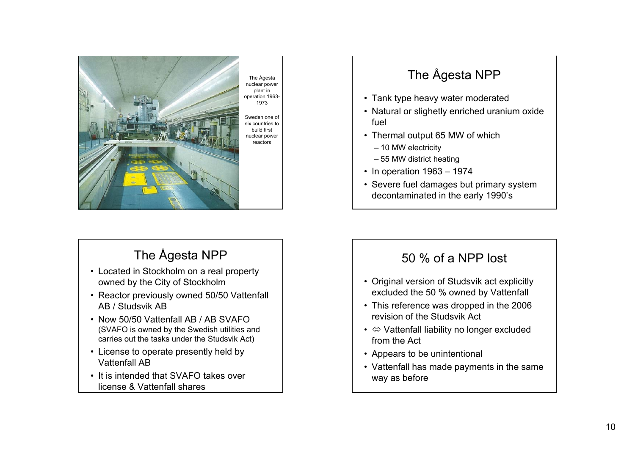

# The Ågesta NPP

- Located in Stockholm on a real property owned by the City of Stockholm
- Reactor previously owned 50/50 Vattenfall AB / Studsvik AB
- Now 50/50 Vattenfall AB / AB SVAFO (SVAFO is owned by the Swedish utilities and carries out the tasks under the Studsvik Act)
- License to operate presently held by Vattenfall AB
- It is intended that SVAFO takes over license & Vattenfall shares

# The Ågesta NPP

- Tank type heavy water moderated
- Natural or slighetly enriched uranium oxide fuel
- Thermal output 65 MW of which
	- 10 MW electricity
	- 55 MW district heating
- In operation 1963 1974
- Severe fuel damages but primary system decontaminated in the early 1990's

## 50 % of a NPP lost

- Original version of Studsvik act explicitly excluded the 50 % owned by Vattenfall
- This reference was dropped in the 2006 revision of the Studsvik Act
- $\Leftrightarrow$  Vattenfall liability no longer excluded from the Act
- Appears to be unintentional
- Vattenfall has made payments in the same way as before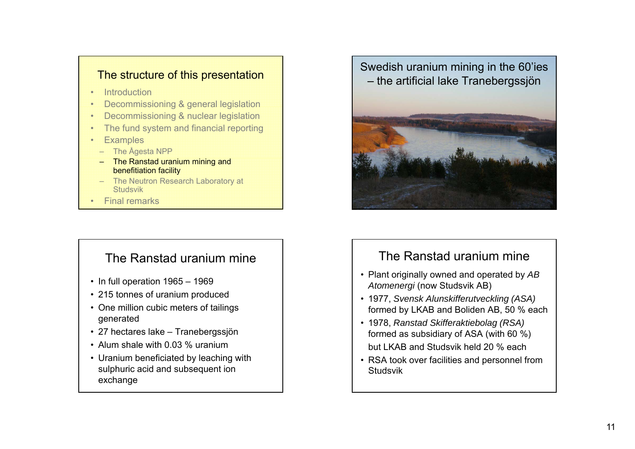#### The structure of this presentation

- •**Introduction**
- •Decommissioning & general legislation
- •Decommissioning & nuclear legislation
- •The fund system and financial reporting
- •**Examples**
- The Ågesta NPP
- – The Ranstad uranium mining and benefitiation facility
- The Neutron Research Laboratory at Studsvik
- •Final remarks

## The Ranstad uranium mine

- In full operation 1965 1969
- 215 tonnes of uranium produced
- One million cubic meters of tailings generated
- 27 hectares lake Tranebergssjön
- Alum shale with 0.03 % uranium
- Uranium beneficiated by leaching with sulphuric acid and subsequent ion exchange





#### The Ranstad uranium mine

- Plant originally owned and operated by *AB Atomenergi* (now Studsvik AB)
- 1977, *Svensk Alunskifferutveckling (ASA)*  formed by LKAB and Boliden AB, 50 % each
- 1978, *Ranstad Skifferaktiebolag (RSA)*  formed as subsidiary of ASA (with 60 %) but LKAB and Studsvik held 20 % each
- RSA took over facilities and personnel from Studsvik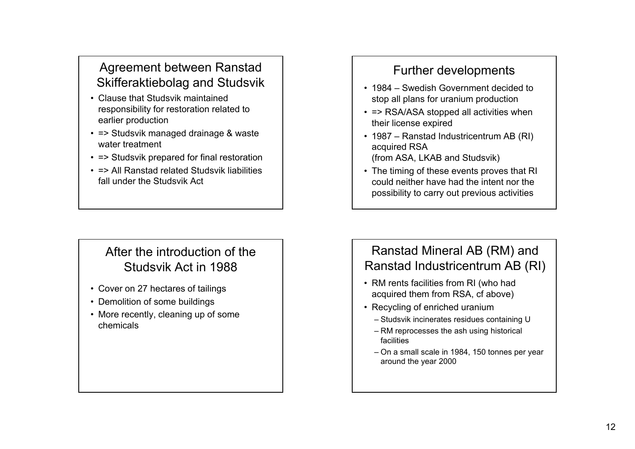# Agreement between Ranstad Skifferaktiebolag and Studsvik

- Clause that Studsvik maintainedresponsibility for restoration related to earlier production
- => Studsvik managed drainage & waste water treatment
- => Studsvik prepared for final restoration
- => All Ranstad related Studsvik liabilitiesfall under the Studsvik Act

# After the introduction of the Studsvik Act in 1988

- Cover on 27 hectares of tailings
- Demolition of some buildings
- More recently, cleaning up of some chemicals

# Further developments

- 1984 Swedish Government decided to stop all plans for uranium production
- => RSA/ASA stopped all activities when their license expired
- 1987 Ranstad Industricentrum AB (RI) acquired RSA (from ASA, LKAB and Studsvik)
- The timing of these events proves that RI could neither have had the intent nor the possibility to carry out previous activities

# Ranstad Mineral AB (RM) and Ranstad Industricentrum AB (RI)

- RM rents facilities from RI (who had acquired them from RSA, cf above)
- Recycling of enriched uranium
	- Studsvik incinerates residues containing U
	- RM reprocesses the ash using historical facilities
	- On a small scale in 1984, 150 tonnes per year around the year 2000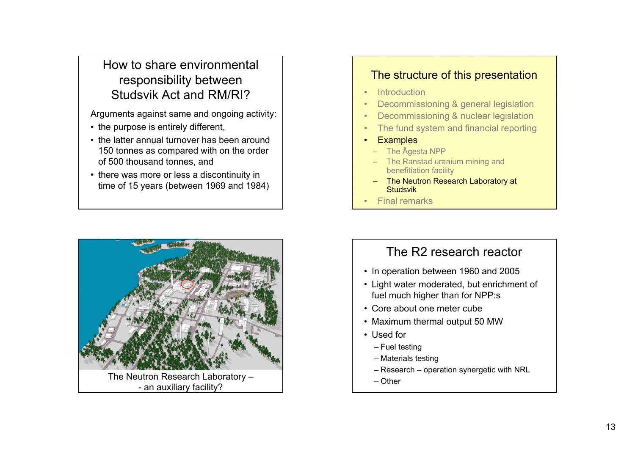# How to share environmentalresponsibility between Studsvik Act and RM/RI?

Arguments against same and ongoing activity:

- the purpose is entirely different,
- the latter annual turnover has been around 150 tonnes as compared with on the order of 500 thousand tonnes, and
- there was more or less a discontinuity in time of 15 years (between 1969 and 1984)



#### The structure of this presentation

- •**Introduction**
- •Decommissioning & general legislation
- •Decommissioning & nuclear legislation
- •The fund system and financial reporting
- •**Examples** 
	- The Ågesta NPP
	- The Ranstad uranium mining and benefitiation facility
	- The Neutron Research Laboratory at **Studsvik**
- Final remarks

# The R2 research reactor

- In operation between 1960 and 2005
- Light water moderated, but enrichment of fuel much higher than for NPP:s
- Core about one meter cube
- Maximum thermal output 50 MW
- Used for
	- Fuel testing
	- Materials testing
	- Research operation synergetic with NRL
- Other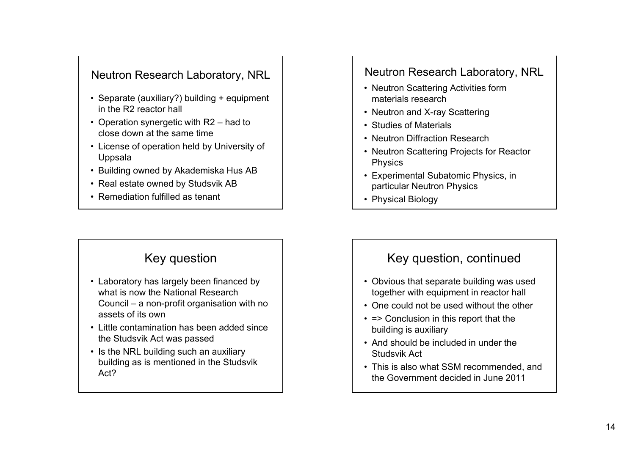#### Neutron Research Laboratory, NRL

- Separate (auxiliary?) building + equipment in the R2 reactor hall
- Operation synergetic with R2 had to close down at the same time
- License of operation held by University of Uppsala
- Building owned by Akademiska Hus AB
- Real estate owned by Studsvik AB
- Remediation fulfilled as tenant

## Key question

- Laboratory has largely been financed by what is now the National Research Council – a non-profit organisation with no assets of its own
- Little contamination has been added sincethe Studsvik Act was passed
- Is the NRL building such an auxiliary building as is mentioned in the Studsvik Act?

#### Neutron Research Laboratory, NRL

- Neutron Scattering Activities form materials research
- Neutron and X-ray Scattering
- Studies of Materials
- Neutron Diffraction Research
- Neutron Scattering Projects for Reactor Physics
- Experimental Subatomic Physics, in particular Neutron Physics
- Physical Biology

#### Key question, continued

- Obvious that separate building was used together with equipment in reactor hall
- One could not be used without the other
- => Conclusion in this report that the building is auxiliary
- And should be included in under the Studsvik Act
- This is also what SSM recommended, and the Government decided in June 2011